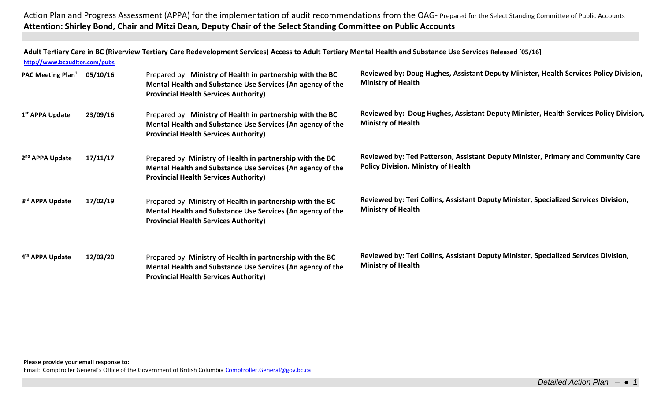**Adult Tertiary Care in BC (Riverview Tertiary Care Redevelopment Services) Access to Adult Tertiary Mental Health and Substance Use Services Released [05/16]**

| http://www.bcauditor.com/pubs        |          |                                                                                                                                                                          |                                                                                                                                 |
|--------------------------------------|----------|--------------------------------------------------------------------------------------------------------------------------------------------------------------------------|---------------------------------------------------------------------------------------------------------------------------------|
| <b>PAC Meeting Plan</b> <sup>1</sup> | 05/10/16 | Prepared by: Ministry of Health in partnership with the BC<br>Mental Health and Substance Use Services (An agency of the<br><b>Provincial Health Services Authority)</b> | Reviewed by: Doug Hughes, Assistant Deputy Minister, Health Services Policy Division,<br><b>Ministry of Health</b>              |
| 1 <sup>st</sup> APPA Update          | 23/09/16 | Prepared by: Ministry of Health in partnership with the BC<br>Mental Health and Substance Use Services (An agency of the<br><b>Provincial Health Services Authority)</b> | Reviewed by: Doug Hughes, Assistant Deputy Minister, Health Services Policy Division,<br><b>Ministry of Health</b>              |
| 2 <sup>nd</sup> APPA Update          | 17/11/17 | Prepared by: Ministry of Health in partnership with the BC<br>Mental Health and Substance Use Services (An agency of the<br><b>Provincial Health Services Authority)</b> | Reviewed by: Ted Patterson, Assistant Deputy Minister, Primary and Community Care<br><b>Policy Division, Ministry of Health</b> |
| 3rd APPA Update                      | 17/02/19 | Prepared by: Ministry of Health in partnership with the BC<br>Mental Health and Substance Use Services (An agency of the<br><b>Provincial Health Services Authority)</b> | Reviewed by: Teri Collins, Assistant Deputy Minister, Specialized Services Division,<br><b>Ministry of Health</b>               |
| 4 <sup>th</sup> APPA Update          | 12/03/20 | Prepared by: Ministry of Health in partnership with the BC<br>Mental Health and Substance Use Services (An agency of the<br><b>Provincial Health Services Authority)</b> | Reviewed by: Teri Collins, Assistant Deputy Minister, Specialized Services Division,<br><b>Ministry of Health</b>               |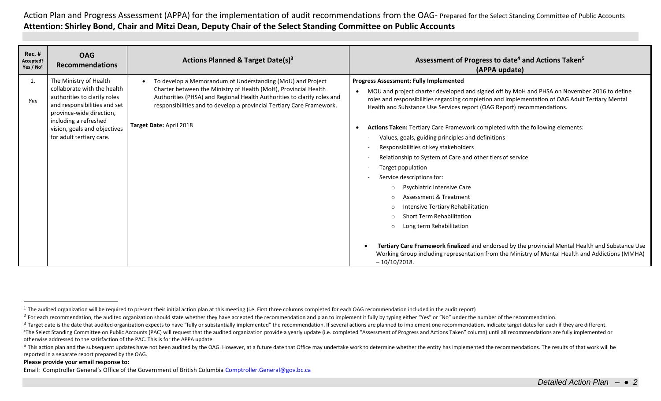| <b>Rec. #</b><br>Accepted?<br>Yes / $No2$ | <b>OAG</b><br><b>Recommendations</b>                                                                                                                                                                                                   | Actions Planned & Target Date(s) <sup>3</sup>                                                                                                                                                                                                                                                                | Assessment of Progress to date <sup>4</sup> and Actions Taken <sup>5</sup><br>(APPA update)                                                                                                                                                                                                                                                                                                                                                                                                                                                                                                                                                                                                                                                                                                                                                                                                                                                                                                                                                                                              |
|-------------------------------------------|----------------------------------------------------------------------------------------------------------------------------------------------------------------------------------------------------------------------------------------|--------------------------------------------------------------------------------------------------------------------------------------------------------------------------------------------------------------------------------------------------------------------------------------------------------------|------------------------------------------------------------------------------------------------------------------------------------------------------------------------------------------------------------------------------------------------------------------------------------------------------------------------------------------------------------------------------------------------------------------------------------------------------------------------------------------------------------------------------------------------------------------------------------------------------------------------------------------------------------------------------------------------------------------------------------------------------------------------------------------------------------------------------------------------------------------------------------------------------------------------------------------------------------------------------------------------------------------------------------------------------------------------------------------|
| 1.<br>Yes                                 | The Ministry of Health<br>collaborate with the health<br>authorities to clarify roles<br>and responsibilities and set<br>province-wide direction,<br>including a refreshed<br>vision, goals and objectives<br>for adult tertiary care. | To develop a Memorandum of Understanding (MoU) and Project<br>Charter between the Ministry of Health (MoH), Provincial Health<br>Authorities (PHSA) and Regional Health Authorities to clarify roles and<br>responsibilities and to develop a provincial Tertiary Care Framework.<br>Target Date: April 2018 | <b>Progress Assessment: Fully Implemented</b><br>MOU and project charter developed and signed off by MoH and PHSA on November 2016 to define<br>$\bullet$<br>roles and responsibilities regarding completion and implementation of OAG Adult Tertiary Mental<br>Health and Substance Use Services report (OAG Report) recommendations.<br>Actions Taken: Tertiary Care Framework completed with the following elements:<br>Values, goals, guiding principles and definitions<br>Responsibilities of key stakeholders<br>Relationship to System of Care and other tiers of service<br>Target population<br>Service descriptions for:<br><b>Psychiatric Intensive Care</b><br>$\circ$<br>Assessment & Treatment<br>$\Omega$<br>Intensive Tertiary Rehabilitation<br>$\circ$<br><b>Short Term Rehabilitation</b><br>$\circ$<br>Long term Rehabilitation<br>$\circ$<br>Tertiary Care Framework finalized and endorsed by the provincial Mental Health and Substance Use<br>Working Group including representation from the Ministry of Mental Health and Addictions (MMHA)<br>$-10/10/2018.$ |

otherwise addressed to the satisfaction of the PAC. This is for the APPA update.

#### **Please provide your email response to:**

 $\overline{a}$ 

<sup>&</sup>lt;sup>1</sup> The audited organization will be required to present their initial action plan at this meeting (i.e. First three columns completed for each OAG recommendation included in the audit report)

<sup>&</sup>lt;sup>2</sup> For each recommendation, the audited organization should state whether they have accepted the recommendation and plan to implement it fully by typing either "Yes" or "No" under the number of the recommendation.

<sup>&</sup>lt;sup>3</sup> Target date is the date that audited organization expects to have "fully or substantially implemented" the recommendation. If several actions are planned to implement one recommendation, indicate target dates for each <sup>4</sup>The Select Standing Committee on Public Accounts (PAC) will request that the audited organization provide a yearly update (i.e. completed "Assessment of Progress and Actions Taken" column) until all recommendations are

<sup>&</sup>lt;sup>5</sup> This action plan and the subsequent updates have not been audited by the OAG. However, at a future date that Office may undertake work to determine whether the entity has implemented the recommendations. The results of reported in a separate report prepared by the OAG.

Email: Comptroller General's Office of the Government of British Columbia [Comptroller.General@gov.bc.ca](mailto:Comptroller.General@gov.bc.ca)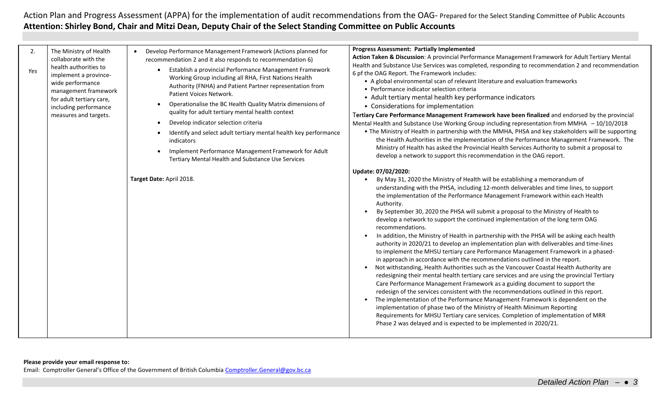| 2.<br>Yes | The Ministry of Health<br>collaborate with the<br>health authorities to<br>implement a province-<br>wide performance<br>management framework<br>for adult tertiary care,<br>including performance<br>measures and targets. | Develop Performance Management Framework (Actions planned for<br>recommendation 2 and it also responds to recommendation 6)<br>Establish a provincial Performance Management Framework<br>Working Group including all RHA, First Nations Health<br>Authority (FNHA) and Patient Partner representation from<br>Patient Voices Network.<br>Operationalise the BC Health Quality Matrix dimensions of<br>quality for adult tertiary mental health context<br>Develop indicator selection criteria<br>$\bullet$<br>Identify and select adult tertiary mental health key performance<br><i>indicators</i><br>Implement Performance Management Framework for Adult<br>Tertiary Mental Health and Substance Use Services<br>Target Date: April 2018. | <b>Progress Assessment: Partially Implemented</b><br>Action Taken & Discussion: A provincial Performance Management Framework for Adult Tertiary Mental<br>Health and Substance Use Services was completed, responding to recommendation 2 and recommendation<br>6 pf the OAG Report. The Framework includes:<br>• A global environmental scan of relevant literature and evaluation frameworks<br>• Performance indicator selection criteria<br>• Adult tertiary mental health key performance indicators<br>• Considerations for implementation<br>Tertiary Care Performance Management Framework have been finalized and endorsed by the provincial<br>Mental Health and Substance Use Working Group including representation from MMHA - 10/10/2018<br>. The Ministry of Health in partnership with the MMHA, PHSA and key stakeholders will be supporting<br>the Health Authorities in the implementation of the Performance Management Framework. The<br>Ministry of Health has asked the Provincial Health Services Authority to submit a proposal to<br>develop a network to support this recommendation in the OAG report.<br>Update: 07/02/2020:<br>By May 31, 2020 the Ministry of Health will be establishing a memorandum of<br>understanding with the PHSA, including 12-month deliverables and time lines, to support<br>the implementation of the Performance Management Framework within each Health<br>Authority.<br>By September 30, 2020 the PHSA will submit a proposal to the Ministry of Health to<br>develop a network to support the continued implementation of the long term OAG<br>recommendations.<br>In addition, the Ministry of Health in partnership with the PHSA will be asking each health<br>authority in 2020/21 to develop an implementation plan with deliverables and time-lines<br>to implement the MHSU tertiary care Performance Management Framework in a phased-<br>in approach in accordance with the recommendations outlined in the report.<br>Not withstanding, Health Authorities such as the Vancouver Coastal Health Authority are<br>redesigning their mental health tertiary care services and are using the provincial Tertiary<br>Care Performance Management Framework as a guiding document to support the<br>redesign of the services consistent with the recommendations outlined in this report.<br>The implementation of the Performance Management Framework is dependent on the<br>implementation of phase two of the Ministry of Health Minimum Reporting<br>Requirements for MHSU Tertiary care services. Completion of implementation of MRR<br>Phase 2 was delayed and is expected to be implemented in 2020/21. |
|-----------|----------------------------------------------------------------------------------------------------------------------------------------------------------------------------------------------------------------------------|------------------------------------------------------------------------------------------------------------------------------------------------------------------------------------------------------------------------------------------------------------------------------------------------------------------------------------------------------------------------------------------------------------------------------------------------------------------------------------------------------------------------------------------------------------------------------------------------------------------------------------------------------------------------------------------------------------------------------------------------|---------------------------------------------------------------------------------------------------------------------------------------------------------------------------------------------------------------------------------------------------------------------------------------------------------------------------------------------------------------------------------------------------------------------------------------------------------------------------------------------------------------------------------------------------------------------------------------------------------------------------------------------------------------------------------------------------------------------------------------------------------------------------------------------------------------------------------------------------------------------------------------------------------------------------------------------------------------------------------------------------------------------------------------------------------------------------------------------------------------------------------------------------------------------------------------------------------------------------------------------------------------------------------------------------------------------------------------------------------------------------------------------------------------------------------------------------------------------------------------------------------------------------------------------------------------------------------------------------------------------------------------------------------------------------------------------------------------------------------------------------------------------------------------------------------------------------------------------------------------------------------------------------------------------------------------------------------------------------------------------------------------------------------------------------------------------------------------------------------------------------------------------------------------------------------------------------------------------------------------------------------------------------------------------------------------------------------------------------------------------------------------------------------------------------------------------------------------------------------------------------------------------------------------------------------------------------------------------------------------------------------------------------------------------------------------|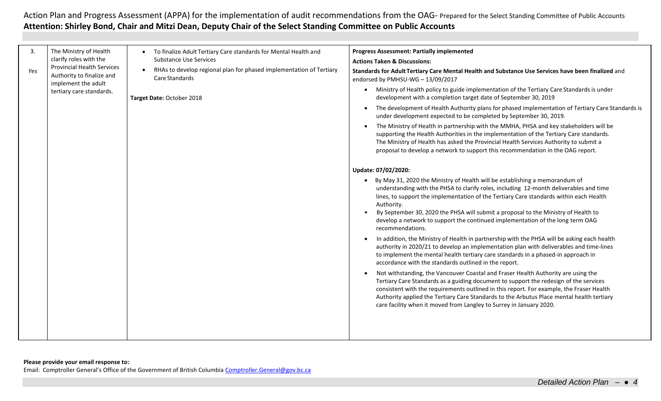| 3.<br>Yes | The Ministry of Health<br>clarify roles with the<br><b>Provincial Health Services</b><br>Authority to finalize and<br>implement the adult<br>tertiary care standards. | To finalize Adult Tertiary Care standards for Mental Health and<br><b>Substance Use Services</b><br>RHAs to develop regional plan for phased implementation of Tertiary<br>Care Standards<br>Target Date: October 2018 | <b>Progress Assessment: Partially implemented</b><br><b>Actions Taken &amp; Discussions:</b><br>Standards for Adult Tertiary Care Mental Health and Substance Use Services have been finalized and<br>endorsed by PMHSU-WG - 13/09/2017<br>Ministry of Health policy to guide implementation of the Tertiary Care Standards is under<br>$\bullet$<br>development with a completion target date of September 30, 2019<br>The development of Health Authority plans for phased implementation of Tertiary Care Standards is<br>under development expected to be completed by September 30, 2019.<br>The Ministry of Health in partnership with the MMHA, PHSA and key stakeholders will be<br>supporting the Health Authorities in the implementation of the Tertiary Care standards.<br>The Ministry of Health has asked the Provincial Health Services Authority to submit a<br>proposal to develop a network to support this recommendation in the OAG report.<br>Update: 07/02/2020:<br>By May 31, 2020 the Ministry of Health will be establishing a memorandum of<br>understanding with the PHSA to clarify roles, including 12-month deliverables and time<br>lines, to support the implementation of the Tertiary Care standards within each Health<br>Authority.<br>By September 30, 2020 the PHSA will submit a proposal to the Ministry of Health to<br>develop a network to support the continued implementation of the long term OAG<br>recommendations.<br>In addition, the Ministry of Health in partnership with the PHSA will be asking each health<br>authority in 2020/21 to develop an implementation plan with deliverables and time-lines<br>to implement the mental health tertiary care standards in a phased-in approach in<br>accordance with the standards outlined in the report.<br>Not withstanding, the Vancouver Coastal and Fraser Health Authority are using the<br>Tertiary Care Standards as a guiding document to support the redesign of the services<br>consistent with the requirements outlined in this report. For example, the Fraser Health<br>Authority applied the Tertiary Care Standards to the Arbutus Place mental health tertiary<br>care facility when it moved from Langley to Surrey in January 2020. |
|-----------|-----------------------------------------------------------------------------------------------------------------------------------------------------------------------|------------------------------------------------------------------------------------------------------------------------------------------------------------------------------------------------------------------------|-----------------------------------------------------------------------------------------------------------------------------------------------------------------------------------------------------------------------------------------------------------------------------------------------------------------------------------------------------------------------------------------------------------------------------------------------------------------------------------------------------------------------------------------------------------------------------------------------------------------------------------------------------------------------------------------------------------------------------------------------------------------------------------------------------------------------------------------------------------------------------------------------------------------------------------------------------------------------------------------------------------------------------------------------------------------------------------------------------------------------------------------------------------------------------------------------------------------------------------------------------------------------------------------------------------------------------------------------------------------------------------------------------------------------------------------------------------------------------------------------------------------------------------------------------------------------------------------------------------------------------------------------------------------------------------------------------------------------------------------------------------------------------------------------------------------------------------------------------------------------------------------------------------------------------------------------------------------------------------------------------------------------------------------------------------------------------------------------------------------------------------------------------------------------------------------------------------------------------------------------------------|
|           |                                                                                                                                                                       |                                                                                                                                                                                                                        |                                                                                                                                                                                                                                                                                                                                                                                                                                                                                                                                                                                                                                                                                                                                                                                                                                                                                                                                                                                                                                                                                                                                                                                                                                                                                                                                                                                                                                                                                                                                                                                                                                                                                                                                                                                                                                                                                                                                                                                                                                                                                                                                                                                                                                                           |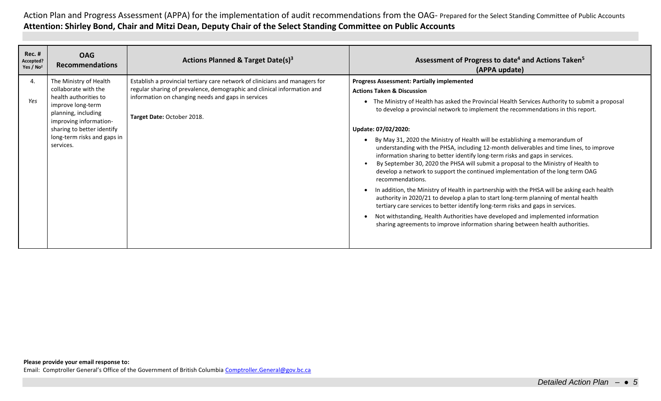| <b>Rec. #</b><br>Accepted?<br>Yes / $No2$ | <b>OAG</b><br><b>Recommendations</b>                                                                                                                                                                                    | Actions Planned & Target Date(s) <sup>3</sup>                                                                                                                                                                                              | Assessment of Progress to date <sup>4</sup> and Actions Taken <sup>5</sup><br>(APPA update)                                                                                                                                                                                                                                                                                                                                                                                                                                                                                                                                                                                                                                                                                                                                                                                                                                                                                                                                                                                                                                                                                                                |
|-------------------------------------------|-------------------------------------------------------------------------------------------------------------------------------------------------------------------------------------------------------------------------|--------------------------------------------------------------------------------------------------------------------------------------------------------------------------------------------------------------------------------------------|------------------------------------------------------------------------------------------------------------------------------------------------------------------------------------------------------------------------------------------------------------------------------------------------------------------------------------------------------------------------------------------------------------------------------------------------------------------------------------------------------------------------------------------------------------------------------------------------------------------------------------------------------------------------------------------------------------------------------------------------------------------------------------------------------------------------------------------------------------------------------------------------------------------------------------------------------------------------------------------------------------------------------------------------------------------------------------------------------------------------------------------------------------------------------------------------------------|
| 4.<br>Yes                                 | The Ministry of Health<br>collaborate with the<br>health authorities to<br>improve long-term<br>planning, including<br>improving information-<br>sharing to better identify<br>long-term risks and gaps in<br>services. | Establish a provincial tertiary care network of clinicians and managers for<br>regular sharing of prevalence, demographic and clinical information and<br>information on changing needs and gaps in services<br>Target Date: October 2018. | <b>Progress Assessment: Partially implemented</b><br><b>Actions Taken &amp; Discussion</b><br>The Ministry of Health has asked the Provincial Health Services Authority to submit a proposal<br>to develop a provincial network to implement the recommendations in this report.<br>Update: 07/02/2020:<br>By May 31, 2020 the Ministry of Health will be establishing a memorandum of<br>understanding with the PHSA, including 12-month deliverables and time lines, to improve<br>information sharing to better identify long-term risks and gaps in services.<br>By September 30, 2020 the PHSA will submit a proposal to the Ministry of Health to<br>develop a network to support the continued implementation of the long term OAG<br>recommendations.<br>In addition, the Ministry of Health in partnership with the PHSA will be asking each health<br>authority in 2020/21 to develop a plan to start long-term planning of mental health<br>tertiary care services to better identify long-term risks and gaps in services.<br>Not withstanding, Health Authorities have developed and implemented information<br>sharing agreements to improve information sharing between health authorities. |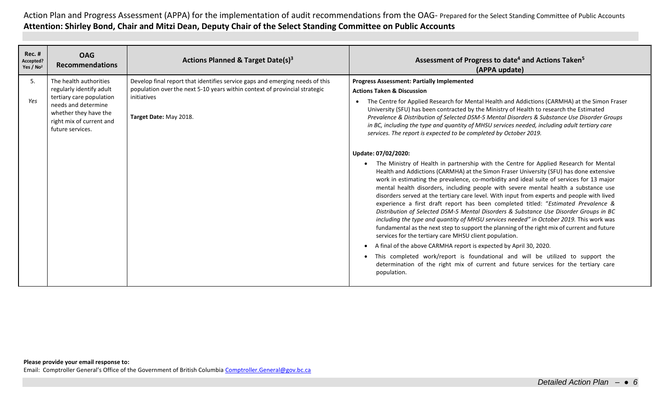| <b>Rec. #</b><br>Accepted?<br>Yes / No <sup>2</sup> | <b>OAG</b><br><b>Recommendations</b>                                                                                                                                           | Actions Planned & Target Date(s) <sup>3</sup>                                                                                                                                                       | Assessment of Progress to date <sup>4</sup> and Actions Taken <sup>5</sup><br>(APPA update)                                                                                                                                                                                                                                                                                                                                                                                                                                                                                                                                                                                                                                                                                                                                                                                                                                                                                                                                                                                                                                                                                                                                                                                                                                                                                                                                                                                                                                                                                                                                                                                                                                                                                                                  |
|-----------------------------------------------------|--------------------------------------------------------------------------------------------------------------------------------------------------------------------------------|-----------------------------------------------------------------------------------------------------------------------------------------------------------------------------------------------------|--------------------------------------------------------------------------------------------------------------------------------------------------------------------------------------------------------------------------------------------------------------------------------------------------------------------------------------------------------------------------------------------------------------------------------------------------------------------------------------------------------------------------------------------------------------------------------------------------------------------------------------------------------------------------------------------------------------------------------------------------------------------------------------------------------------------------------------------------------------------------------------------------------------------------------------------------------------------------------------------------------------------------------------------------------------------------------------------------------------------------------------------------------------------------------------------------------------------------------------------------------------------------------------------------------------------------------------------------------------------------------------------------------------------------------------------------------------------------------------------------------------------------------------------------------------------------------------------------------------------------------------------------------------------------------------------------------------------------------------------------------------------------------------------------------------|
| 5.<br>Yes                                           | The health authorities<br>regularly identify adult<br>tertiary care population<br>needs and determine<br>whether they have the<br>right mix of current and<br>future services. | Develop final report that identifies service gaps and emerging needs of this<br>population over the next 5-10 years within context of provincial strategic<br>initiatives<br>Target Date: May 2018. | <b>Progress Assessment: Partially Implemented</b><br><b>Actions Taken &amp; Discussion</b><br>The Centre for Applied Research for Mental Health and Addictions (CARMHA) at the Simon Fraser<br>$\bullet$<br>University (SFU) has been contracted by the Ministry of Health to research the Estimated<br>Prevalence & Distribution of Selected DSM-5 Mental Disorders & Substance Use Disorder Groups<br>in BC, including the type and quantity of MHSU services needed, including adult tertiary care<br>services. The report is expected to be completed by October 2019.<br>Update: 07/02/2020:<br>The Ministry of Health in partnership with the Centre for Applied Research for Mental<br>$\bullet$<br>Health and Addictions (CARMHA) at the Simon Fraser University (SFU) has done extensive<br>work in estimating the prevalence, co-morbidity and ideal suite of services for 13 major<br>mental health disorders, including people with severe mental health a substance use<br>disorders served at the tertiary care level. With input from experts and people with lived<br>experience a first draft report has been completed titled: "Estimated Prevalence &<br>Distribution of Selected DSM-5 Mental Disorders & Substance Use Disorder Groups in BC<br>including the type and quantity of MHSU services needed" in October 2019. This work was<br>fundamental as the next step to support the planning of the right mix of current and future<br>services for the tertiary care MHSU client population.<br>A final of the above CARMHA report is expected by April 30, 2020.<br>$\bullet$<br>This completed work/report is foundational and will be utilized to support the<br>$\bullet$<br>determination of the right mix of current and future services for the tertiary care<br>population. |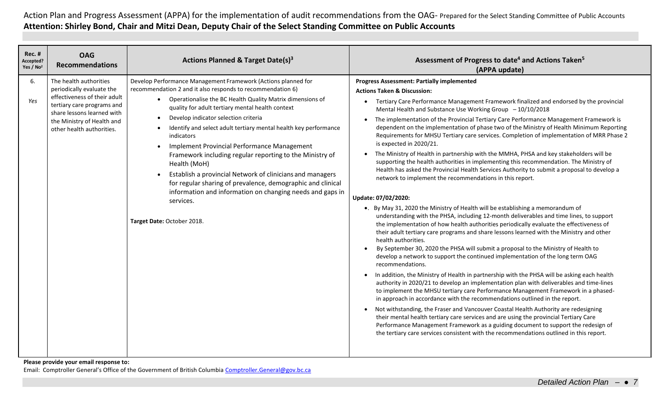| Rec. #<br><b>OAG</b><br>Accepted?<br><b>Recommendations</b><br>Yes / No <sup>2</sup>                                                                                                                                    | <b>Actions Planned &amp; Target Date(s)3</b>                                                                                                                                                                                                                                                                                                                                                                                                                                                                                                                                                                                                                                                                                                                      | Assessment of Progress to date <sup>4</sup> and Actions Taken <sup>5</sup><br>(APPA update)                                                                                                                                                                                                                                                                                                                                                                                                                                                                                                                                                                                                                                                                                                                                                                                                                                                                                                                                                                                                                                                                                                                                                                                                                                                                                                                                                                                                                                                                                                                                                                                                                                                                                                                                                                                                                                                                                                                                                                                                                                                                                                                                                                                |
|-------------------------------------------------------------------------------------------------------------------------------------------------------------------------------------------------------------------------|-------------------------------------------------------------------------------------------------------------------------------------------------------------------------------------------------------------------------------------------------------------------------------------------------------------------------------------------------------------------------------------------------------------------------------------------------------------------------------------------------------------------------------------------------------------------------------------------------------------------------------------------------------------------------------------------------------------------------------------------------------------------|----------------------------------------------------------------------------------------------------------------------------------------------------------------------------------------------------------------------------------------------------------------------------------------------------------------------------------------------------------------------------------------------------------------------------------------------------------------------------------------------------------------------------------------------------------------------------------------------------------------------------------------------------------------------------------------------------------------------------------------------------------------------------------------------------------------------------------------------------------------------------------------------------------------------------------------------------------------------------------------------------------------------------------------------------------------------------------------------------------------------------------------------------------------------------------------------------------------------------------------------------------------------------------------------------------------------------------------------------------------------------------------------------------------------------------------------------------------------------------------------------------------------------------------------------------------------------------------------------------------------------------------------------------------------------------------------------------------------------------------------------------------------------------------------------------------------------------------------------------------------------------------------------------------------------------------------------------------------------------------------------------------------------------------------------------------------------------------------------------------------------------------------------------------------------------------------------------------------------------------------------------------------------|
| The health authorities<br>6.<br>periodically evaluate the<br>effectiveness of their adult<br>Yes<br>tertiary care programs and<br>share lessons learned with<br>the Ministry of Health and<br>other health authorities. | Develop Performance Management Framework (Actions planned for<br>recommendation 2 and it also responds to recommendation 6)<br>• Operationalise the BC Health Quality Matrix dimensions of<br>quality for adult tertiary mental health context<br>Develop indicator selection criteria<br>$\bullet$<br>Identify and select adult tertiary mental health key performance<br>indicators<br>Implement Provincial Performance Management<br>$\bullet$<br>Framework including regular reporting to the Ministry of<br>Health (MoH)<br>Establish a provincial Network of clinicians and managers<br>for regular sharing of prevalence, demographic and clinical<br>information and information on changing needs and gaps in<br>services.<br>Target Date: October 2018. | <b>Progress Assessment: Partially implemented</b><br><b>Actions Taken &amp; Discussion:</b><br>Tertiary Care Performance Management Framework finalized and endorsed by the provincial<br>Mental Health and Substance Use Working Group $-10/10/2018$<br>The implementation of the Provincial Tertiary Care Performance Management Framework is<br>dependent on the implementation of phase two of the Ministry of Health Minimum Reporting<br>Requirements for MHSU Tertiary care services. Completion of implementation of MRR Phase 2<br>is expected in 2020/21.<br>The Ministry of Health in partnership with the MMHA, PHSA and key stakeholders will be<br>supporting the health authorities in implementing this recommendation. The Ministry of<br>Health has asked the Provincial Health Services Authority to submit a proposal to develop a<br>network to implement the recommendations in this report.<br>Update: 07/02/2020:<br>•. By May 31, 2020 the Ministry of Health will be establishing a memorandum of<br>understanding with the PHSA, including 12-month deliverables and time lines, to support<br>the implementation of how health authorities periodically evaluate the effectiveness of<br>their adult tertiary care programs and share lessons learned with the Ministry and other<br>health authorities.<br>By September 30, 2020 the PHSA will submit a proposal to the Ministry of Health to<br>develop a network to support the continued implementation of the long term OAG<br>recommendations.<br>In addition, the Ministry of Health in partnership with the PHSA will be asking each health<br>authority in 2020/21 to develop an implementation plan with deliverables and time-lines<br>to implement the MHSU tertiary care Performance Management Framework in a phased-<br>in approach in accordance with the recommendations outlined in the report.<br>Not withstanding, the Fraser and Vancouver Coastal Health Authority are redesigning<br>$\bullet$<br>their mental health tertiary care services and are using the provincial Tertiary Care<br>Performance Management Framework as a guiding document to support the redesign of<br>the tertiary care services consistent with the recommendations outlined in this report. |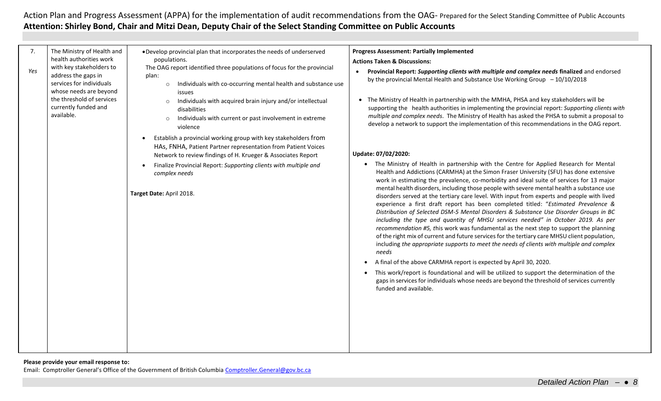| 7.<br>Yes | The Ministry of Health and<br>health authorities work<br>with key stakeholders to<br>address the gaps in<br>services for individuals<br>whose needs are beyond<br>the threshold of services<br>currently funded and<br>available. | . Develop provincial plan that incorporates the needs of underserved<br>populations.<br>The OAG report identified three populations of focus for the provincial<br>plan:<br>Individuals with co-occurring mental health and substance use<br>$\circ$<br>issues<br>Individuals with acquired brain injury and/or intellectual<br>$\circ$<br>disabilities<br>Individuals with current or past involvement in extreme<br>$\circ$<br>violence | <b>Progress Assessment: Partially Implemented</b><br><b>Actions Taken &amp; Discussions:</b><br>Provincial Report: Supporting clients with multiple and complex needs finalized and endorsed<br>by the provincial Mental Health and Substance Use Working Group $-10/10/2018$<br>The Ministry of Health in partnership with the MMHA, PHSA and key stakeholders will be<br>supporting the health authorities in implementing the provincial report: Supporting clients with<br>multiple and complex needs. The Ministry of Health has asked the PHSA to submit a proposal to<br>develop a network to support the implementation of this recommendations in the OAG report.                                                                                                                                                                                                                                                                                                                                                                  |
|-----------|-----------------------------------------------------------------------------------------------------------------------------------------------------------------------------------------------------------------------------------|-------------------------------------------------------------------------------------------------------------------------------------------------------------------------------------------------------------------------------------------------------------------------------------------------------------------------------------------------------------------------------------------------------------------------------------------|---------------------------------------------------------------------------------------------------------------------------------------------------------------------------------------------------------------------------------------------------------------------------------------------------------------------------------------------------------------------------------------------------------------------------------------------------------------------------------------------------------------------------------------------------------------------------------------------------------------------------------------------------------------------------------------------------------------------------------------------------------------------------------------------------------------------------------------------------------------------------------------------------------------------------------------------------------------------------------------------------------------------------------------------|
|           |                                                                                                                                                                                                                                   | Establish a provincial working group with key stakeholders from<br>HAs, FNHA, Patient Partner representation from Patient Voices<br>Network to review findings of H. Krueger & Associates Report                                                                                                                                                                                                                                          | Update: 07/02/2020:                                                                                                                                                                                                                                                                                                                                                                                                                                                                                                                                                                                                                                                                                                                                                                                                                                                                                                                                                                                                                         |
|           |                                                                                                                                                                                                                                   | Finalize Provincial Report: Supporting clients with multiple and<br>complex needs<br>Target Date: April 2018.                                                                                                                                                                                                                                                                                                                             | • The Ministry of Health in partnership with the Centre for Applied Research for Mental<br>Health and Addictions (CARMHA) at the Simon Fraser University (SFU) has done extensive<br>work in estimating the prevalence, co-morbidity and ideal suite of services for 13 major<br>mental health disorders, including those people with severe mental health a substance use<br>disorders served at the tertiary care level. With input from experts and people with lived<br>experience a first draft report has been completed titled: "Estimated Prevalence &<br>Distribution of Selected DSM-5 Mental Disorders & Substance Use Disorder Groups in BC<br>including the type and quantity of MHSU services needed" in October 2019. As per<br>recommendation #5, this work was fundamental as the next step to support the planning<br>of the right mix of current and future services for the tertiary care MHSU client population,<br>including the appropriate supports to meet the needs of clients with multiple and complex<br>needs |
|           |                                                                                                                                                                                                                                   |                                                                                                                                                                                                                                                                                                                                                                                                                                           | A final of the above CARMHA report is expected by April 30, 2020.<br>$\bullet$<br>This work/report is foundational and will be utilized to support the determination of the<br>$\bullet$<br>gaps in services for individuals whose needs are beyond the threshold of services currently<br>funded and available.                                                                                                                                                                                                                                                                                                                                                                                                                                                                                                                                                                                                                                                                                                                            |
|           |                                                                                                                                                                                                                                   |                                                                                                                                                                                                                                                                                                                                                                                                                                           |                                                                                                                                                                                                                                                                                                                                                                                                                                                                                                                                                                                                                                                                                                                                                                                                                                                                                                                                                                                                                                             |

#### **Please provide your email response to:**

Email: Comptroller General's Office of the Government of British Columbia [Comptroller.General@gov.bc.ca](mailto:Comptroller.General@gov.bc.ca)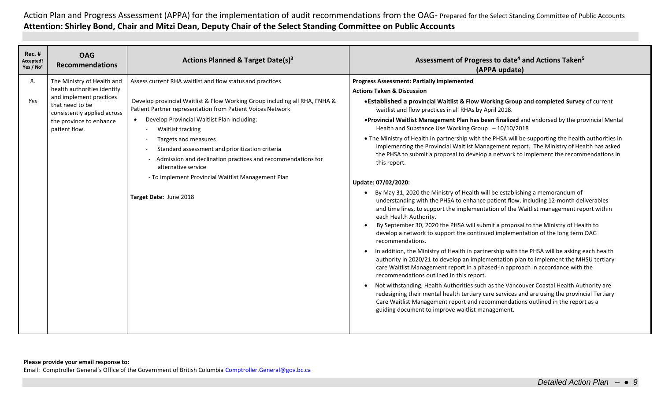| <b>Rec. #</b><br>Accepted?<br>Yes / No <sup>2</sup> | <b>OAG</b><br><b>Recommendations</b>                                                                                                                                               | <b>Actions Planned &amp; Target Date(s)3</b>                                                                                                                                                                                                                                                                                                                                                                                                                                                                                                                                       | Assessment of Progress to date <sup>4</sup> and Actions Taken <sup>5</sup><br>(APPA update)                                                                                                                                                                                                                                                                                                                                                                                                                                                                                                                                                                                                                                                                                                                                                                                                                                                                                                                                                                                                                                                                                                                                                                                                                                                                                                                                                                                                                                                                                                                                                                                                                                                                                                                                                                                                                                         |
|-----------------------------------------------------|------------------------------------------------------------------------------------------------------------------------------------------------------------------------------------|------------------------------------------------------------------------------------------------------------------------------------------------------------------------------------------------------------------------------------------------------------------------------------------------------------------------------------------------------------------------------------------------------------------------------------------------------------------------------------------------------------------------------------------------------------------------------------|-------------------------------------------------------------------------------------------------------------------------------------------------------------------------------------------------------------------------------------------------------------------------------------------------------------------------------------------------------------------------------------------------------------------------------------------------------------------------------------------------------------------------------------------------------------------------------------------------------------------------------------------------------------------------------------------------------------------------------------------------------------------------------------------------------------------------------------------------------------------------------------------------------------------------------------------------------------------------------------------------------------------------------------------------------------------------------------------------------------------------------------------------------------------------------------------------------------------------------------------------------------------------------------------------------------------------------------------------------------------------------------------------------------------------------------------------------------------------------------------------------------------------------------------------------------------------------------------------------------------------------------------------------------------------------------------------------------------------------------------------------------------------------------------------------------------------------------------------------------------------------------------------------------------------------------|
| 8.<br>Yes                                           | The Ministry of Health and<br>health authorities identify<br>and implement practices<br>that need to be<br>consistently applied across<br>the province to enhance<br>patient flow. | Assess current RHA waitlist and flow status and practices<br>Develop provincial Waitlist & Flow Working Group including all RHA, FNHA &<br>Patient Partner representation from Patient Voices Network<br>Develop Provincial Waitlist Plan including:<br>Waitlist tracking<br>$\overline{\phantom{a}}$<br>Targets and measures<br>$\overline{\phantom{a}}$<br>Standard assessment and prioritization criteria<br>Admission and declination practices and recommendations for<br>alternative service<br>- To implement Provincial Waitlist Management Plan<br>Target Date: June 2018 | <b>Progress Assessment: Partially implemented</b><br><b>Actions Taken &amp; Discussion</b><br>• Established a provincial Waitlist & Flow Working Group and completed Survey of current<br>waitlist and flow practices in all RHAs by April 2018.<br>• Provincial Waitlist Management Plan has been finalized and endorsed by the provincial Mental<br>Health and Substance Use Working Group $-10/10/2018$<br>• The Ministry of Health in partnership with the PHSA will be supporting the health authorities in<br>implementing the Provincial Waitlist Management report. The Ministry of Health has asked<br>the PHSA to submit a proposal to develop a network to implement the recommendations in<br>this report.<br>Update: 07/02/2020:<br>By May 31, 2020 the Ministry of Health will be establishing a memorandum of<br>understanding with the PHSA to enhance patient flow, including 12-month deliverables<br>and time lines, to support the implementation of the Waitlist management report within<br>each Health Authority.<br>By September 30, 2020 the PHSA will submit a proposal to the Ministry of Health to<br>$\bullet$<br>develop a network to support the continued implementation of the long term OAG<br>recommendations.<br>In addition, the Ministry of Health in partnership with the PHSA will be asking each health<br>$\bullet$<br>authority in 2020/21 to develop an implementation plan to implement the MHSU tertiary<br>care Waitlist Management report in a phased-in approach in accordance with the<br>recommendations outlined in this report.<br>Not withstanding, Health Authorities such as the Vancouver Coastal Health Authority are<br>$\bullet$<br>redesigning their mental health tertiary care services and are using the provincial Tertiary<br>Care Waitlist Management report and recommendations outlined in the report as a<br>guiding document to improve waitlist management. |
|                                                     |                                                                                                                                                                                    |                                                                                                                                                                                                                                                                                                                                                                                                                                                                                                                                                                                    |                                                                                                                                                                                                                                                                                                                                                                                                                                                                                                                                                                                                                                                                                                                                                                                                                                                                                                                                                                                                                                                                                                                                                                                                                                                                                                                                                                                                                                                                                                                                                                                                                                                                                                                                                                                                                                                                                                                                     |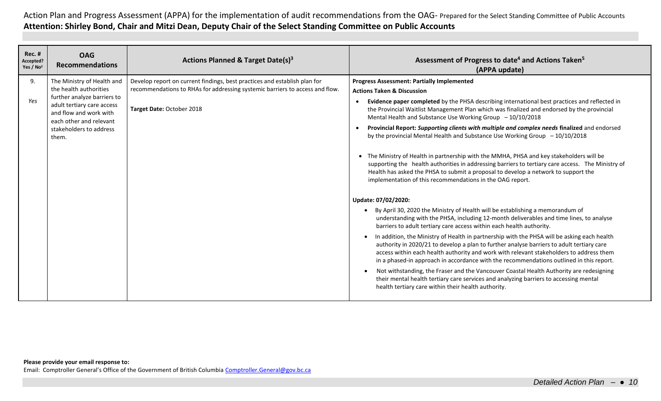| <b>Rec. #</b><br>Accepted?<br>Yes / No <sup>2</sup> | <b>OAG</b><br><b>Recommendations</b>                                                                                                                                                                       | Actions Planned & Target Date(s) <sup>3</sup>                                                                                                                                          | Assessment of Progress to date <sup>4</sup> and Actions Taken <sup>5</sup><br>(APPA update)                                                                                                                                                                                                                                                                                                                                                                                                                                                                                                                                                                                                                                                                                                                                                                                                                                                                                                                                                                                                                                                                                                                                                                                                                                                                                                                                                                                             |
|-----------------------------------------------------|------------------------------------------------------------------------------------------------------------------------------------------------------------------------------------------------------------|----------------------------------------------------------------------------------------------------------------------------------------------------------------------------------------|-----------------------------------------------------------------------------------------------------------------------------------------------------------------------------------------------------------------------------------------------------------------------------------------------------------------------------------------------------------------------------------------------------------------------------------------------------------------------------------------------------------------------------------------------------------------------------------------------------------------------------------------------------------------------------------------------------------------------------------------------------------------------------------------------------------------------------------------------------------------------------------------------------------------------------------------------------------------------------------------------------------------------------------------------------------------------------------------------------------------------------------------------------------------------------------------------------------------------------------------------------------------------------------------------------------------------------------------------------------------------------------------------------------------------------------------------------------------------------------------|
| 9.<br>Yes                                           | The Ministry of Health and<br>the health authorities<br>further analyze barriers to<br>adult tertiary care access<br>and flow and work with<br>each other and relevant<br>stakeholders to address<br>them. | Develop report on current findings, best practices and establish plan for<br>recommendations to RHAs for addressing systemic barriers to access and flow.<br>Target Date: October 2018 | <b>Progress Assessment: Partially Implemented</b><br><b>Actions Taken &amp; Discussion</b><br>Evidence paper completed by the PHSA describing international best practices and reflected in<br>$\bullet$<br>the Provincial Waitlist Management Plan which was finalized and endorsed by the provincial<br>Mental Health and Substance Use Working Group $-10/10/2018$<br>Provincial Report: Supporting clients with multiple and complex needs finalized and endorsed<br>by the provincial Mental Health and Substance Use Working Group $-10/10/2018$<br>The Ministry of Health in partnership with the MMHA, PHSA and key stakeholders will be<br>supporting the health authorities in addressing barriers to tertiary care access. The Ministry of<br>Health has asked the PHSA to submit a proposal to develop a network to support the<br>implementation of this recommendations in the OAG report.<br>Update: 07/02/2020:<br>By April 30, 2020 the Ministry of Health will be establishing a memorandum of<br>$\bullet$<br>understanding with the PHSA, including 12-month deliverables and time lines, to analyse<br>barriers to adult tertiary care access within each health authority.<br>In addition, the Ministry of Health in partnership with the PHSA will be asking each health<br>authority in 2020/21 to develop a plan to further analyse barriers to adult tertiary care<br>access within each health authority and work with relevant stakeholders to address them |
|                                                     |                                                                                                                                                                                                            |                                                                                                                                                                                        | in a phased-in approach in accordance with the recommendations outlined in this report.<br>Not withstanding, the Fraser and the Vancouver Coastal Health Authority are redesigning<br>their mental health tertiary care services and analyzing barriers to accessing mental<br>health tertiary care within their health authority.                                                                                                                                                                                                                                                                                                                                                                                                                                                                                                                                                                                                                                                                                                                                                                                                                                                                                                                                                                                                                                                                                                                                                      |